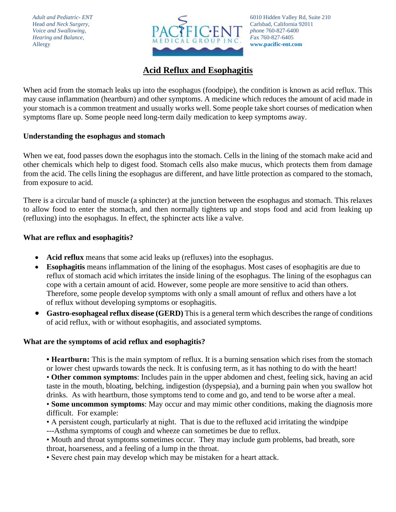

# **Acid Reflux and Esophagitis**

When acid from the stomach leaks up into the esophagus (foodpipe), the condition is known as acid reflux. This may cause inflammation (heartburn) and other symptoms. A medicine which reduces the amount of acid made in your stomach is a common treatment and usually works well. Some people take short courses of medication when symptoms flare up. Some people need long-term daily medication to keep symptoms away.

## **Understanding the esophagus and stomach**

When we eat, food passes down the esophagus into the stomach. Cells in the lining of the stomach make acid and other chemicals which help to digest food. Stomach cells also make mucus, which protects them from damage from the acid. The cells lining the esophagus are different, and have little protection as compared to the stomach, from exposure to acid.

There is a circular band of muscle (a sphincter) at the junction between the esophagus and stomach. This relaxes to allow food to enter the stomach, and then normally tightens up and stops food and acid from leaking up (refluxing) into the esophagus. In effect, the sphincter acts like a valve.

## **What are reflux and esophagitis?**

- **Acid reflux** means that some acid leaks up (refluxes) into the esophagus.
- **Esophagitis** means inflammation of the lining of the esophagus. Most cases of esophagitis are due to reflux of stomach acid which irritates the inside lining of the esophagus. The lining of the esophagus can cope with a certain amount of acid. However, some people are more sensitive to acid than others. Therefore, some people develop symptoms with only a small amount of reflux and others have a lot of reflux without developing symptoms or esophagitis.
- **Gastro-esophageal reflux disease (GERD)** This is a general term which describes the range of conditions of acid reflux, with or without esophagitis, and associated symptoms.

## **What are the symptoms of acid reflux and esophagitis?**

• **Heartburn:** This is the main symptom of reflux. It is a burning sensation which rises from the stomach or lower chest upwards towards the neck. It is confusing term, as it has nothing to do with the heart!

• **Other common symptoms**: Includes pain in the upper abdomen and chest, feeling sick, having an acid taste in the mouth, bloating, belching, indigestion (dyspepsia), and a burning pain when you swallow hot drinks. As with heartburn, those symptoms tend to come and go, and tend to be worse after a meal.

• **Some uncommon symptoms**: May occur and may mimic other conditions, making the diagnosis more difficult. For example:

• A persistent cough, particularly at night. That is due to the refluxed acid irritating the windpipe

---Asthma symptoms of cough and wheeze can sometimes be due to reflux.

• Mouth and throat symptoms sometimes occur. They may include gum problems, bad breath, sore throat, hoarseness, and a feeling of a lump in the throat.

• Severe chest pain may develop which may be mistaken for a heart attack.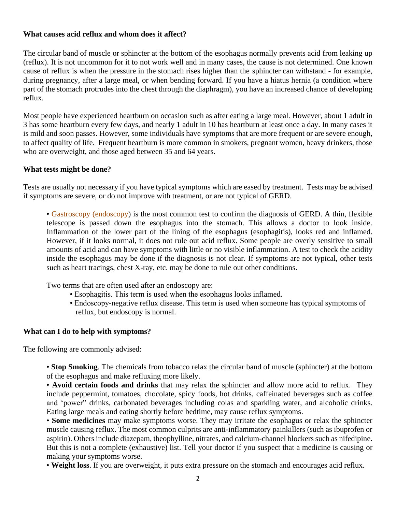#### **What causes acid reflux and whom does it affect?**

The circular band of muscle or sphincter at the bottom of the esophagus normally prevents acid from leaking up (reflux). It is not uncommon for it to not work well and in many cases, the cause is not determined. One known cause of reflux is when the pressure in the stomach rises higher than the sphincter can withstand - for example, during pregnancy, after a large meal, or when bending forward. If you have a hiatus hernia (a condition where part of the stomach protrudes into the chest through the diaphragm), you have an increased chance of developing reflux.

Most people have experienced heartburn on occasion such as after eating a large meal. However, about 1 adult in 3 has some heartburn every few days, and nearly 1 adult in 10 has heartburn at least once a day. In many cases it is mild and soon passes. However, some individuals have symptoms that are more frequent or are severe enough, to affect quality of life. Frequent heartburn is more common in smokers, pregnant women, heavy drinkers, those who are overweight, and those aged between 35 and 64 years.

#### **What tests might be done?**

Tests are usually not necessary if you have typical symptoms which are eased by treatment. Tests may be advised if symptoms are severe, or do not improve with treatment, or are not typical of GERD.

• Gastroscopy (endoscopy) is the most common test to confirm the diagnosis of GERD. A thin, flexible telescope is passed down the esophagus into the stomach. This allows a doctor to look inside. Inflammation of the lower part of the lining of the esophagus (esophagitis), looks red and inflamed. However, if it looks normal, it does not rule out acid reflux. Some people are overly sensitive to small amounts of acid and can have symptoms with little or no visible inflammation. A test to check the acidity inside the esophagus may be done if the diagnosis is not clear. If symptoms are not typical, other tests such as heart tracings, chest X-ray, etc. may be done to rule out other conditions.

Two terms that are often used after an endoscopy are:

- Esophagitis. This term is used when the esophagus looks inflamed.
- Endoscopy-negative reflux disease. This term is used when someone has typical symptoms of reflux, but endoscopy is normal.

#### **What can I do to help with symptoms?**

The following are commonly advised:

• **Stop Smoking**. The chemicals from tobacco relax the circular band of muscle (sphincter) at the bottom of the esophagus and make refluxing more likely.

• **Avoid certain foods and drinks** that may relax the sphincter and allow more acid to reflux. They include peppermint, tomatoes, chocolate, spicy foods, hot drinks, caffeinated beverages such as coffee and 'power" drinks, carbonated beverages including colas and sparkling water, and alcoholic drinks. Eating large meals and eating shortly before bedtime, may cause reflux symptoms.

• **Some medicines** may make symptoms worse. They may irritate the esophagus or relax the sphincter muscle causing reflux. The most common culprits are anti-inflammatory painkillers (such as ibuprofen or aspirin). Others include diazepam, theophylline, nitrates, and calcium-channel blockers such as nifedipine. But this is not a complete (exhaustive) list. Tell your doctor if you suspect that a medicine is causing or making your symptoms worse.

• **Weight loss**. If you are overweight, it puts extra pressure on the stomach and encourages acid reflux.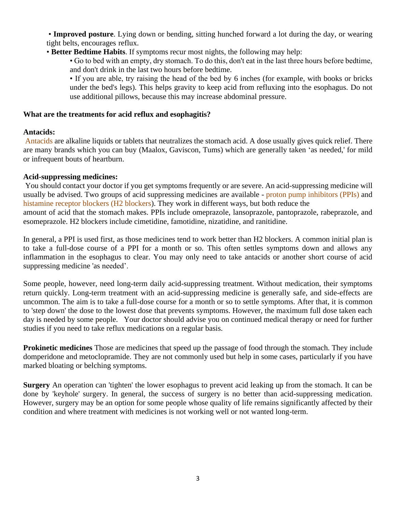- **Improved posture**. Lying down or bending, sitting hunched forward a lot during the day, or wearing tight belts, encourages reflux.
- **Better Bedtime Habits**. If symptoms recur most nights, the following may help:

• Go to bed with an empty, dry stomach. To do this, don't eat in the last three hours before bedtime, and don't drink in the last two hours before bedtime.

• If you are able, try raising the head of the bed by 6 inches (for example, with books or bricks under the bed's legs). This helps gravity to keep acid from refluxing into the esophagus. Do not use additional pillows, because this may increase abdominal pressure.

## **What are the treatments for acid reflux and esophagitis?**

## **Antacids:**

Antacids are alkaline liquids or tablets that neutralizes the stomach acid. A dose usually gives quick relief. There are many brands which you can buy (Maalox, Gaviscon, Tums) which are generally taken 'as needed,' for mild or infrequent bouts of heartburn.

## **Acid-suppressing medicines:**

You should contact your doctor if you get symptoms frequently or are severe. An acid-suppressing medicine will usually be advised. Two groups of acid suppressing medicines are available - proton pump inhibitors (PPIs) and histamine receptor blockers (H2 blockers). They work in different ways, but both reduce the amount of acid that the stomach makes. PPIs include omeprazole, lansoprazole, pantoprazole, rabeprazole, and esomeprazole. H2 blockers include cimetidine, famotidine, nizatidine, and ranitidine.

In general, a PPI is used first, as those medicines tend to work better than H2 blockers. A common initial plan is to take a full-dose course of a PPI for a month or so. This often settles symptoms down and allows any inflammation in the esophagus to clear. You may only need to take antacids or another short course of acid suppressing medicine 'as needed'.

Some people, however, need long-term daily acid-suppressing treatment. Without medication, their symptoms return quickly. Long-term treatment with an acid-suppressing medicine is generally safe, and side-effects are uncommon. The aim is to take a full-dose course for a month or so to settle symptoms. After that, it is common to 'step down' the dose to the lowest dose that prevents symptoms. However, the maximum full dose taken each day is needed by some people. Your doctor should advise you on continued medical therapy or need for further studies if you need to take reflux medications on a regular basis.

**Prokinetic medicines** Those are medicines that speed up the passage of food through the stomach. They include domperidone and metoclopramide. They are not commonly used but help in some cases, particularly if you have marked bloating or belching symptoms.

**Surgery** An operation can 'tighten' the lower esophagus to prevent acid leaking up from the stomach. It can be done by 'keyhole' surgery. In general, the success of surgery is no better than acid-suppressing medication. However, surgery may be an option for some people whose quality of life remains significantly affected by their condition and where treatment with medicines is not working well or not wanted long-term.